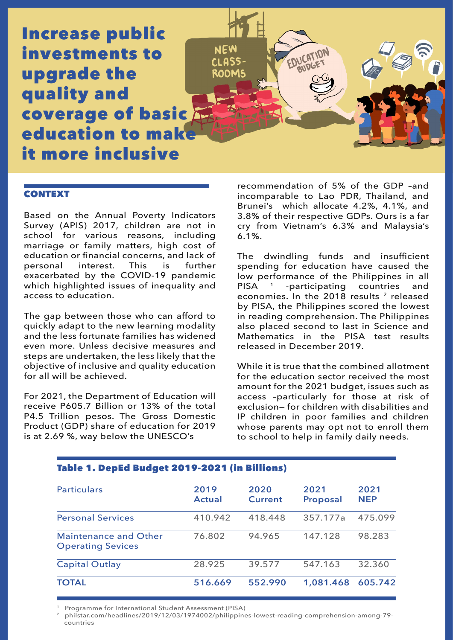Increase public investments to upgrade the quality and coverage of basic education to mal it more inclusive

## **CONTEXT**

Based on the Annual Poverty Indicators Survey (APIS) 2017, children are not in school for various reasons, including marriage or family matters, high cost of education or financial concerns, and lack of<br>personal interest. This is further personal exacerbated by the COVID-19 pandemic which highlighted issues of inequality and access to education.

The gap between those who can afford to quickly adapt to the new learning modality and the less fortunate families has widened even more. Unless decisive measures and steps are undertaken, the less likely that the objective of inclusive and quality education for all will be achieved.

For 2021, the Department of Education will receive P605.7 Billion or 13% of the total P4.5 Trillion pesos. The Gross Domestic Product (GDP) share of education for 2019 is at 2.69 %, way below the UNESCO's

recommendation of 5% of the GDP –and incomparable to Lao PDR, Thailand, and Brunei's which allocate 4.2%, 4.1%, and 3.8% of their respective GDPs. Ours is a far cry from Vietnam's 6.3% and Malaysia's 6.1%.

EDUCATION

The dwindling funds and insufficient spending for education have caused the low performance of the Philippines in all<br>PISA <sup>1</sup> -participating countries and  $PISA$  <sup>1</sup> -participating countries economies. In the  $2018$  results  $2$  released by PISA, the Philippines scored the lowest in reading comprehension. The Philippines also placed second to last in Science and Mathematics in the PISA test results released in December 2019.

While it is true that the combined allotment for the education sector received the most amount for the 2021 budget, issues such as access –particularly for those at risk of exclusion— for children with disabilities and IP children in poor families and children whose parents may opt not to enroll them to school to help in family daily needs.

| <b>Particulars</b>                                       | 2019<br><b>Actual</b> | 2020<br><b>Current</b> | 2021<br><b>Proposal</b> | 2021<br><b>NEP</b> |
|----------------------------------------------------------|-----------------------|------------------------|-------------------------|--------------------|
| <b>Personal Services</b>                                 | 410.942               | 418.448                | 357.177a                | 475.099            |
| <b>Maintenance and Other</b><br><b>Operating Sevices</b> | 76.802                | 94.965                 | 147.128                 | 98.283             |
| <b>Capital Outlay</b>                                    | 28.925                | 39.577                 | 547.163                 | 32.360             |
| <b>TOTAL</b>                                             | 516.669               | 552.990                | 1,081.468               | 605.742            |

**NFW** 

**CLASS ROOMS** 

# Table 1. DepEd Budget 2019-2021 (in Billions)

1 Programme for International Student Assessment (PISA)

2 philstar.com/headlines/2019/12/03/1974002/philippines-lowest-reading-comprehension-among-79 countries